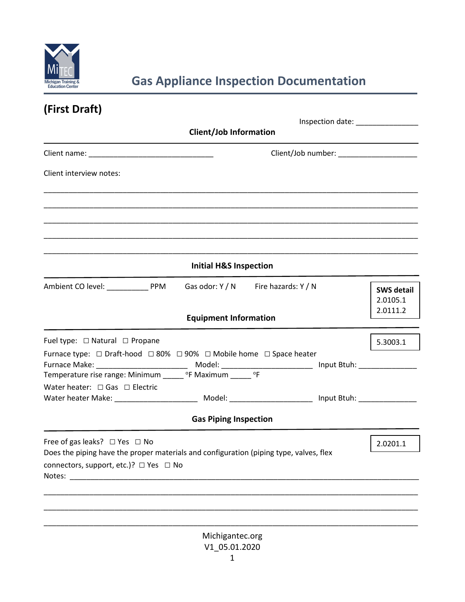

# **Gas Appliance Inspection Documentation**

| (First Draft)                                                                                                                                              |                                   |          |                                         |                               |
|------------------------------------------------------------------------------------------------------------------------------------------------------------|-----------------------------------|----------|-----------------------------------------|-------------------------------|
| Inspection date: National Properties<br><b>Client/Job Information</b>                                                                                      |                                   |          |                                         |                               |
|                                                                                                                                                            |                                   |          | Client/Job number: ____________________ |                               |
| Client interview notes:                                                                                                                                    |                                   |          |                                         |                               |
|                                                                                                                                                            |                                   |          |                                         |                               |
|                                                                                                                                                            |                                   |          |                                         |                               |
|                                                                                                                                                            | <b>Initial H&amp;S Inspection</b> |          |                                         |                               |
| Ambient CO level: PPM Gas odor: Y / N Fire hazards: Y / N                                                                                                  |                                   |          |                                         | <b>SWS detail</b><br>2.0105.1 |
|                                                                                                                                                            | <b>Equipment Information</b>      |          |                                         | 2.0111.2                      |
| Fuel type: $\Box$ Natural $\Box$ Propane                                                                                                                   |                                   |          |                                         | 5.3003.1                      |
| Furnace type: $\Box$ Draft-hood $\Box$ 80% $\Box$ 90% $\Box$ Mobile home $\Box$ Space heater<br>Temperature rise range: Minimum ______ °F Maximum _____ °F |                                   |          |                                         |                               |
| Water heater: $\Box$ Gas $\Box$ Electric                                                                                                                   |                                   |          |                                         |                               |
|                                                                                                                                                            | <b>Gas Piping Inspection</b>      |          |                                         |                               |
| Free of gas leaks? $\Box$ Yes $\Box$ No<br>Does the piping have the proper materials and configuration (piping type, valves, flex                          |                                   | 2.0201.1 |                                         |                               |
| connectors, support, etc.)? □ Yes □ No                                                                                                                     |                                   |          |                                         |                               |
|                                                                                                                                                            |                                   |          |                                         |                               |
|                                                                                                                                                            |                                   |          |                                         |                               |
|                                                                                                                                                            | Michigantec.org<br>V1 05.01.2020  |          |                                         |                               |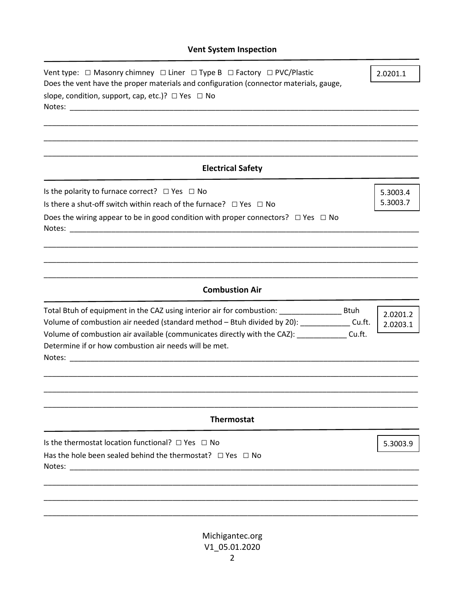| Vent type: □ Masonry chimney □ Liner □ Type B □ Factory □ PVC/Plastic<br>Does the vent have the proper materials and configuration (connector materials, gauge,                 |                      |  |
|---------------------------------------------------------------------------------------------------------------------------------------------------------------------------------|----------------------|--|
| slope, condition, support, cap, etc.)? $\Box$ Yes $\Box$ No                                                                                                                     |                      |  |
|                                                                                                                                                                                 |                      |  |
|                                                                                                                                                                                 |                      |  |
| <b>Electrical Safety</b>                                                                                                                                                        |                      |  |
| Is the polarity to furnace correct? $\Box$ Yes $\Box$ No                                                                                                                        | 5.3003.4<br>5.3003.7 |  |
| Is there a shut-off switch within reach of the furnace? $\Box$ Yes $\Box$ No                                                                                                    |                      |  |
| Does the wiring appear to be in good condition with proper connectors? $\Box$ Yes $\Box$ No<br>Notes:                                                                           |                      |  |
|                                                                                                                                                                                 |                      |  |
|                                                                                                                                                                                 |                      |  |
| <b>Combustion Air</b>                                                                                                                                                           |                      |  |
|                                                                                                                                                                                 | 2.0201.2             |  |
| Volume of combustion air needed (standard method - Btuh divided by 20): ______________Cu.ft.<br>Volume of combustion air available (communicates directly with the CAZ): Cu.ft. |                      |  |
| Determine if or how combustion air needs will be met.                                                                                                                           |                      |  |
|                                                                                                                                                                                 |                      |  |
|                                                                                                                                                                                 |                      |  |
|                                                                                                                                                                                 |                      |  |
| <b>Thermostat</b>                                                                                                                                                               |                      |  |
| Is the thermostat location functional? $\Box$ Yes $\Box$ No                                                                                                                     | 5.3003.9             |  |
| Has the hole been sealed behind the thermostat? $\Box$ Yes $\Box$ No                                                                                                            |                      |  |
|                                                                                                                                                                                 |                      |  |
|                                                                                                                                                                                 |                      |  |
|                                                                                                                                                                                 |                      |  |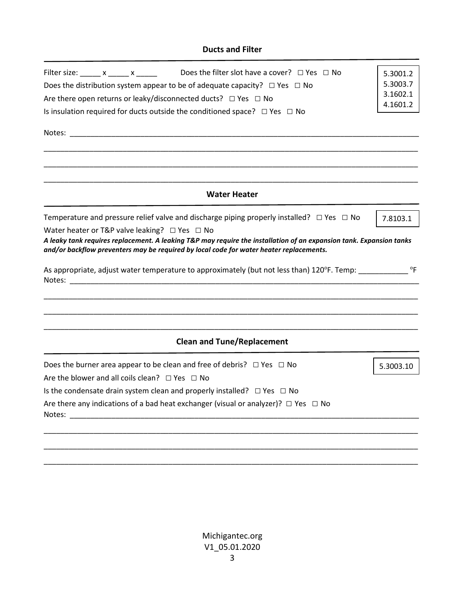#### **Ducts and Filter**

| Does the filter slot have a cover? $\Box$ Yes $\Box$ No<br>Filter size: ______ x _____ x _____<br>Does the distribution system appear to be of adequate capacity? $\Box$ Yes $\Box$ No<br>Are there open returns or leaky/disconnected ducts? $\Box$ Yes $\Box$ No<br>Is insulation required for ducts outside the conditioned space? $\Box$ Yes $\Box$ No                       | 5.3001.2<br>5.3003.7<br>3.1602.1<br>4.1601.2 |
|----------------------------------------------------------------------------------------------------------------------------------------------------------------------------------------------------------------------------------------------------------------------------------------------------------------------------------------------------------------------------------|----------------------------------------------|
| <b>Water Heater</b>                                                                                                                                                                                                                                                                                                                                                              |                                              |
| Temperature and pressure relief valve and discharge piping properly installed? $\Box$ Yes $\Box$ No<br>Water heater or T&P valve leaking? $\Box$ Yes $\Box$ No<br>A leaky tank requires replacement. A leaking T&P may require the installation of an expansion tank. Expansion tanks<br>and/or backflow preventers may be required by local code for water heater replacements. | 7.8103.1                                     |
| As appropriate, adjust water temperature to approximately (but not less than) 120°F. Temp:                                                                                                                                                                                                                                                                                       |                                              |
| <b>Clean and Tune/Replacement</b>                                                                                                                                                                                                                                                                                                                                                |                                              |
| Does the burner area appear to be clean and free of debris? $\Box$ Yes $\Box$ No<br>Are the blower and all coils clean? $\Box$ Yes $\Box$ No<br>Is the condensate drain system clean and properly installed? $\Box$ Yes $\Box$ No<br>Are there any indications of a bad heat exchanger (visual or analyzer)? $\Box$ Yes $\Box$ No                                                | 5.3003.10                                    |
| Notes:                                                                                                                                                                                                                                                                                                                                                                           |                                              |

Michigantec.org V1\_05.01.2020 3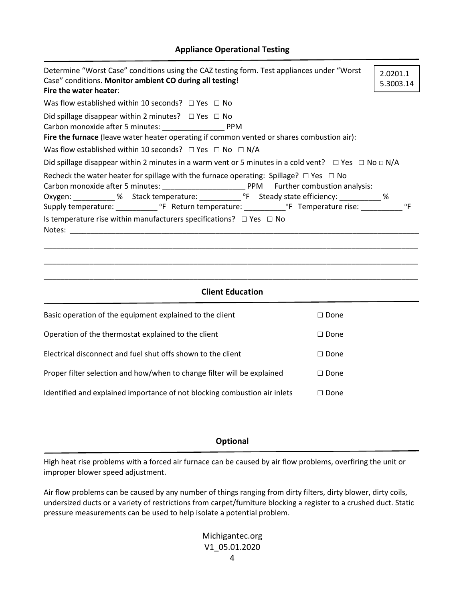|  | <b>Appliance Operational Testing</b> |  |
|--|--------------------------------------|--|
|--|--------------------------------------|--|

| Determine "Worst Case" conditions using the CAZ testing form. Test appliances under "Worst<br>Case" conditions. Monitor ambient CO during all testing!<br>Fire the water heater:                  | 2.0201.1<br>5.3003.14 |  |  |  |  |  |
|---------------------------------------------------------------------------------------------------------------------------------------------------------------------------------------------------|-----------------------|--|--|--|--|--|
| Was flow established within 10 seconds? $\Box$ Yes $\Box$ No                                                                                                                                      |                       |  |  |  |  |  |
| Did spillage disappear within 2 minutes? $\Box$ Yes $\Box$ No<br>Fire the furnace (leave water heater operating if common vented or shares combustion air):                                       |                       |  |  |  |  |  |
| Was flow established within 10 seconds? $\Box$ Yes $\Box$ No $\Box$ N/A                                                                                                                           |                       |  |  |  |  |  |
| Did spillage disappear within 2 minutes in a warm vent or 5 minutes in a cold vent? $\Box$ Yes $\Box$ No $\Box$ N/A                                                                               |                       |  |  |  |  |  |
| Recheck the water heater for spillage with the furnace operating: Spillage? $\Box$ Yes $\Box$ No<br>Oxygen: __________% Stack temperature: ____________ °F Steady state efficiency: ___________ % |                       |  |  |  |  |  |
| Is temperature rise within manufacturers specifications? $\Box$ Yes $\Box$ No                                                                                                                     |                       |  |  |  |  |  |
| <b>Client Education</b>                                                                                                                                                                           |                       |  |  |  |  |  |

| Basic operation of the equipment explained to the client                  | $\Box$ Done |
|---------------------------------------------------------------------------|-------------|
| Operation of the thermostat explained to the client                       | $\Box$ Done |
| Electrical disconnect and fuel shut offs shown to the client              | $\Box$ Done |
| Proper filter selection and how/when to change filter will be explained   | $\Box$ Done |
| Identified and explained importance of not blocking combustion air inlets | $\Box$ Done |

# **Optional**

High heat rise problems with a forced air furnace can be caused by air flow problems, overfiring the unit or improper blower speed adjustment.

Air flow problems can be caused by any number of things ranging from dirty filters, dirty blower, dirty coils, undersized ducts or a variety of restrictions from carpet/furniture blocking a register to a crushed duct. Static pressure measurements can be used to help isolate a potential problem.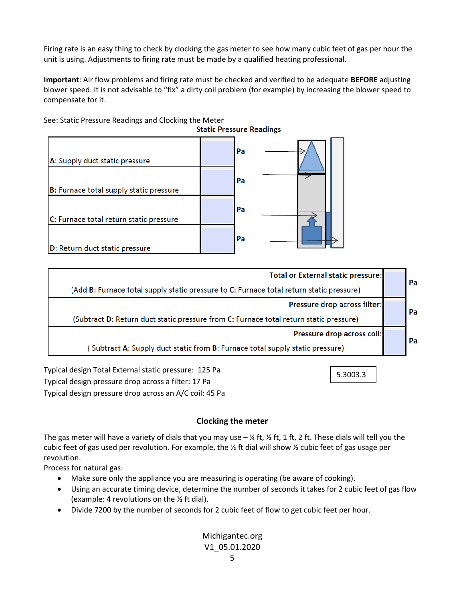Firing rate is an easy thing to check by clocking the gas meter to see how many cubic feet of gas per hour the unit is using. Adjustments to firing rate must be made by a qualified heating professional.

**Important**: Air flow problems and firing rate must be checked and verified to be adequate **BEFORE** adjusting blower speed. It is not advisable to "fix" a dirty coil problem (for example) by increasing the blower speed to compensate for it.



**Total or External static pressure:** Pa (Add B: Furnace total supply static pressure to C: Furnace total return static pressure) Pressure drop across filter: Pa (Subtract D: Return duct static pressure from C: Furnace total return static pressure) Pressure drop across coil: Pa (Subtract A: Supply duct static from B: Furnace total supply static pressure)

Typical design Total External static pressure: 125 Pa Typical design pressure drop across a filter: 17 Pa Typical design pressure drop across an A/C coil: 45 Pa

## **Clocking the meter**

5.3003.3

The gas meter will have a variety of dials that you may use  $-$  ¼ ft,  $\frac{1}{2}$  ft, 1 ft, 2 ft. These dials will tell you the cubic feet of gas used per revolution. For example, the  $\frac{1}{2}$  ft dial will show  $\frac{1}{2}$  cubic feet of gas usage per revolution.

Process for natural gas:

- Make sure only the appliance you are measuring is operating (be aware of cooking).
- Using an accurate timing device, determine the number of seconds it takes for 2 cubic feet of gas flow (example: 4 revolutions on the ½ ft dial).
- Divide 7200 by the number of seconds for 2 cubic feet of flow to get cubic feet per hour.

## Michigantec.org V1\_05.01.2020